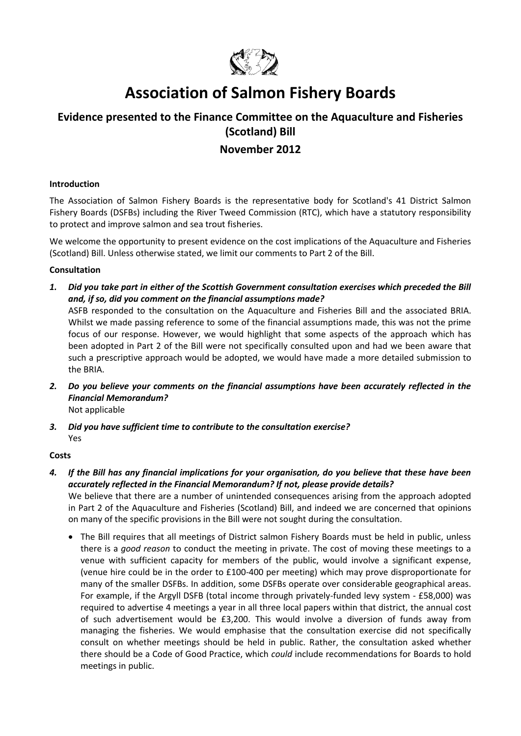

# **Association of Salmon Fishery Boards**

## **Evidence presented to the Finance Committee on the Aquaculture and Fisheries (Scotland) Bill**

### **November 2012**

#### **Introduction**

The Association of Salmon Fishery Boards is the representative body for Scotland's 41 District Salmon Fishery Boards (DSFBs) including the River Tweed Commission (RTC), which have a statutory responsibility to protect and improve salmon and sea trout fisheries.

We welcome the opportunity to present evidence on the cost implications of the Aquaculture and Fisheries (Scotland) Bill. Unless otherwise stated, we limit our comments to Part 2 of the Bill.

#### **Consultation**

*1. Did you take part in either of the Scottish Government consultation exercises which preceded the Bill and, if so, did you comment on the financial assumptions made?* 

ASFB responded to the consultation on the Aquaculture and Fisheries Bill and the associated BRIA. Whilst we made passing reference to some of the financial assumptions made, this was not the prime focus of our response. However, we would highlight that some aspects of the approach which has been adopted in Part 2 of the Bill were not specifically consulted upon and had we been aware that such a prescriptive approach would be adopted, we would have made a more detailed submission to the BRIA.

- *2. Do you believe your comments on the financial assumptions have been accurately reflected in the Financial Memorandum?*  Not applicable
- *3. Did you have sufficient time to contribute to the consultation exercise?*  Yes

#### **Costs**

*4. If the Bill has any financial implications for your organisation, do you believe that these have been accurately reflected in the Financial Memorandum? If not, please provide details?*  We believe that there are a number of unintended consequences arising from the approach adopted

in Part 2 of the Aquaculture and Fisheries (Scotland) Bill, and indeed we are concerned that opinions on many of the specific provisions in the Bill were not sought during the consultation.

• The Bill requires that all meetings of District salmon Fishery Boards must be held in public, unless there is a *good reason* to conduct the meeting in private. The cost of moving these meetings to a venue with sufficient capacity for members of the public, would involve a significant expense, (venue hire could be in the order to £100-400 per meeting) which may prove disproportionate for many of the smaller DSFBs. In addition, some DSFBs operate over considerable geographical areas. For example, if the Argyll DSFB (total income through privately-funded levy system - £58,000) was required to advertise 4 meetings a year in all three local papers within that district, the annual cost of such advertisement would be £3,200. This would involve a diversion of funds away from managing the fisheries. We would emphasise that the consultation exercise did not specifically consult on whether meetings should be held in public. Rather, the consultation asked whether there should be a Code of Good Practice, which *could* include recommendations for Boards to hold meetings in public.